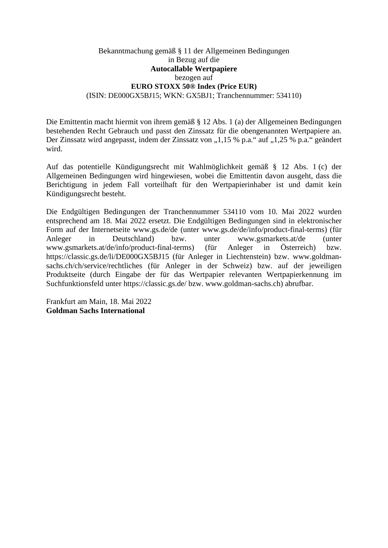## Bekanntmachung gemäß § 11 der Allgemeinen Bedingungen in Bezug auf die **Autocallable Wertpapiere**  bezogen auf **EURO STOXX 50® Index (Price EUR)** (ISIN: DE000GX5BJ15; WKN: GX5BJ1; Tranchennummer: 534110)

Die Emittentin macht hiermit von ihrem gemäß § 12 Abs. 1 (a) der Allgemeinen Bedingungen bestehenden Recht Gebrauch und passt den Zinssatz für die obengenannten Wertpapiere an. Der Zinssatz wird angepasst, indem der Zinssatz von "1,15 % p.a." auf "1,25 % p.a." geändert wird.

Auf das potentielle Kündigungsrecht mit Wahlmöglichkeit gemäß § 12 Abs. 1 (c) der Allgemeinen Bedingungen wird hingewiesen, wobei die Emittentin davon ausgeht, dass die Berichtigung in jedem Fall vorteilhaft für den Wertpapierinhaber ist und damit kein Kündigungsrecht besteht.

Die Endgültigen Bedingungen der Tranchennummer 534110 vom 10. Mai 2022 wurden entsprechend am 18. Mai 2022 ersetzt. Die Endgültigen Bedingungen sind in elektronischer Form auf der Internetseite www.gs.de/de (unter www.gs.de/de/info/product-final-terms) (für Anleger in Deutschland) bzw. unter www.gsmarkets.at/de (unter www.gsmarkets.at/de/info/product-final-terms) (für Anleger in Österreich) bzw. https://classic.gs.de/li/DE000GX5BJ15 (für Anleger in Liechtenstein) bzw. www.goldmansachs.ch/ch/service/rechtliches (für Anleger in der Schweiz) bzw. auf der jeweiligen Produktseite (durch Eingabe der für das Wertpapier relevanten Wertpapierkennung im Suchfunktionsfeld unter https://classic.gs.de/ bzw. www.goldman-sachs.ch) abrufbar.

Frankfurt am Main, 18. Mai 2022 **Goldman Sachs International**